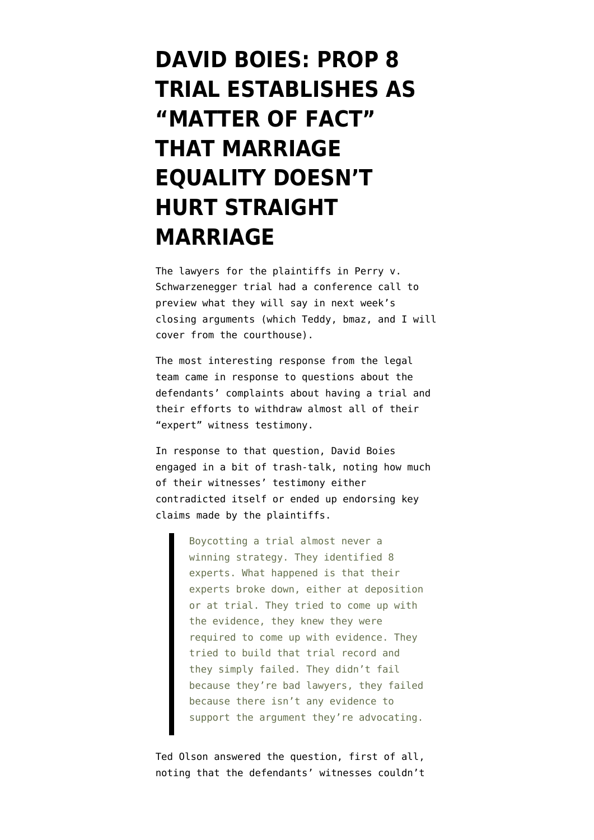## **[DAVID BOIES: PROP 8](https://www.emptywheel.net/2010/06/10/david-boies-prop8-trial-establishes-as-matter-of-fact-that-marriage-equality-doesnt-hurt-straight-marriage/) [TRIAL ESTABLISHES AS](https://www.emptywheel.net/2010/06/10/david-boies-prop8-trial-establishes-as-matter-of-fact-that-marriage-equality-doesnt-hurt-straight-marriage/) ["MATTER OF FACT"](https://www.emptywheel.net/2010/06/10/david-boies-prop8-trial-establishes-as-matter-of-fact-that-marriage-equality-doesnt-hurt-straight-marriage/) [THAT MARRIAGE](https://www.emptywheel.net/2010/06/10/david-boies-prop8-trial-establishes-as-matter-of-fact-that-marriage-equality-doesnt-hurt-straight-marriage/) [EQUALITY DOESN'T](https://www.emptywheel.net/2010/06/10/david-boies-prop8-trial-establishes-as-matter-of-fact-that-marriage-equality-doesnt-hurt-straight-marriage/) [HURT STRAIGHT](https://www.emptywheel.net/2010/06/10/david-boies-prop8-trial-establishes-as-matter-of-fact-that-marriage-equality-doesnt-hurt-straight-marriage/) [MARRIAGE](https://www.emptywheel.net/2010/06/10/david-boies-prop8-trial-establishes-as-matter-of-fact-that-marriage-equality-doesnt-hurt-straight-marriage/)**

The lawyers for the plaintiffs in Perry v. Schwarzenegger trial had a conference call to preview what they will say in next week's closing arguments (which Teddy, bmaz, and I will cover from the courthouse).

The most interesting response from the legal team came in response to questions about the defendants' complaints about having a trial and their efforts to withdraw almost all of their "expert" witness testimony.

In response to that question, David Boies engaged in a bit of trash-talk, noting how much of their witnesses' testimony either contradicted itself or ended up endorsing key claims made by the plaintiffs.

> Boycotting a trial almost never a winning strategy. They identified 8 experts. What happened is that their experts broke down, either at deposition or at trial. They tried to come up with the evidence, they knew they were required to come up with evidence. They tried to build that trial record and they simply failed. They didn't fail because they're bad lawyers, they failed because there isn't any evidence to support the argument they're advocating.

Ted Olson answered the question, first of all, noting that the defendants' witnesses couldn't